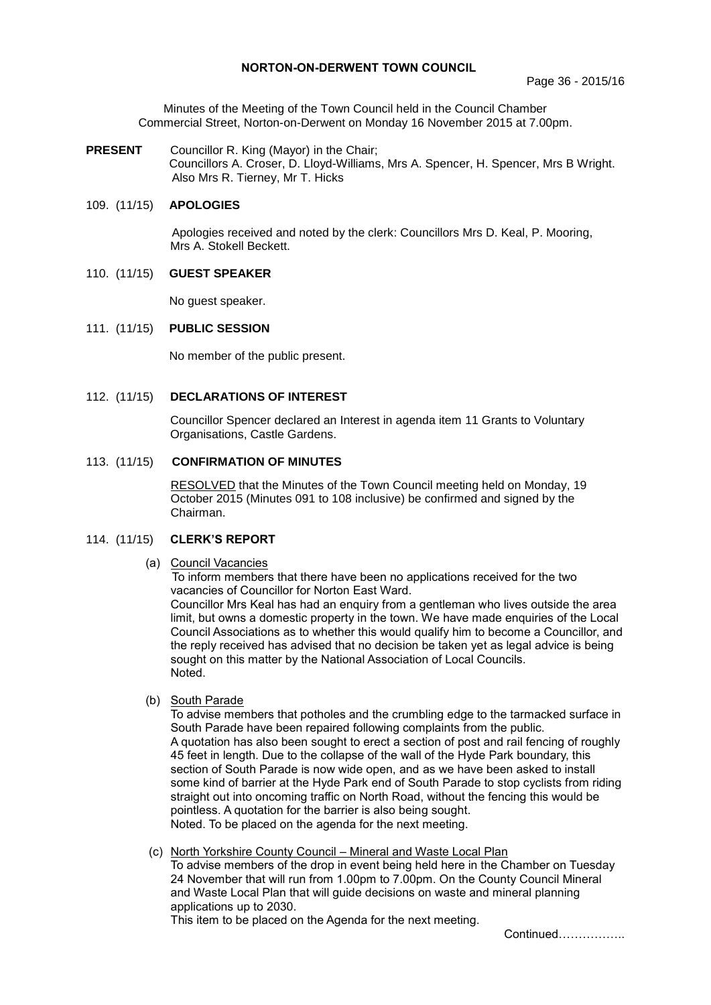# **NORTON-ON-DERWENT TOWN COUNCIL**

Minutes of the Meeting of the Town Council held in the Council Chamber Commercial Street, Norton-on-Derwent on Monday 16 November 2015 at 7.00pm.

**PRESENT** Councillor R. King (Mayor) in the Chair; Councillors A. Croser, D. Lloyd-Williams, Mrs A. Spencer, H. Spencer, Mrs B Wright. Also Mrs R. Tierney, Mr T. Hicks

# 109. (11/15) **APOLOGIES**

Apologies received and noted by the clerk: Councillors Mrs D. Keal, P. Mooring, Mrs A. Stokell Beckett.

# 110. (11/15) **GUEST SPEAKER**

No guest speaker.

# 111. (11/15) **PUBLIC SESSION**

No member of the public present.

# 112. (11/15) **DECLARATIONS OF INTEREST**

Councillor Spencer declared an Interest in agenda item 11 Grants to Voluntary Organisations, Castle Gardens.

#### 113. (11/15) **CONFIRMATION OF MINUTES**

RESOLVED that the Minutes of the Town Council meeting held on Monday, 19 October 2015 (Minutes 091 to 108 inclusive) be confirmed and signed by the Chairman.

# 114. (11/15) **CLERK'S REPORT**

# (a) Council Vacancies

To inform members that there have been no applications received for the two vacancies of Councillor for Norton East Ward.

Councillor Mrs Keal has had an enquiry from a gentleman who lives outside the area limit, but owns a domestic property in the town. We have made enquiries of the Local Council Associations as to whether this would qualify him to become a Councillor, and the reply received has advised that no decision be taken yet as legal advice is being sought on this matter by the National Association of Local Councils. Noted.

#### (b) South Parade

To advise members that potholes and the crumbling edge to the tarmacked surface in South Parade have been repaired following complaints from the public. A quotation has also been sought to erect a section of post and rail fencing of roughly 45 feet in length. Due to the collapse of the wall of the Hyde Park boundary, this section of South Parade is now wide open, and as we have been asked to install some kind of barrier at the Hyde Park end of South Parade to stop cyclists from riding straight out into oncoming traffic on North Road, without the fencing this would be pointless. A quotation for the barrier is also being sought. Noted. To be placed on the agenda for the next meeting.

# (c) North Yorkshire County Council – Mineral and Waste Local Plan

To advise members of the drop in event being held here in the Chamber on Tuesday 24 November that will run from 1.00pm to 7.00pm. On the County Council Mineral and Waste Local Plan that will guide decisions on waste and mineral planning applications up to 2030.

This item to be placed on the Agenda for the next meeting.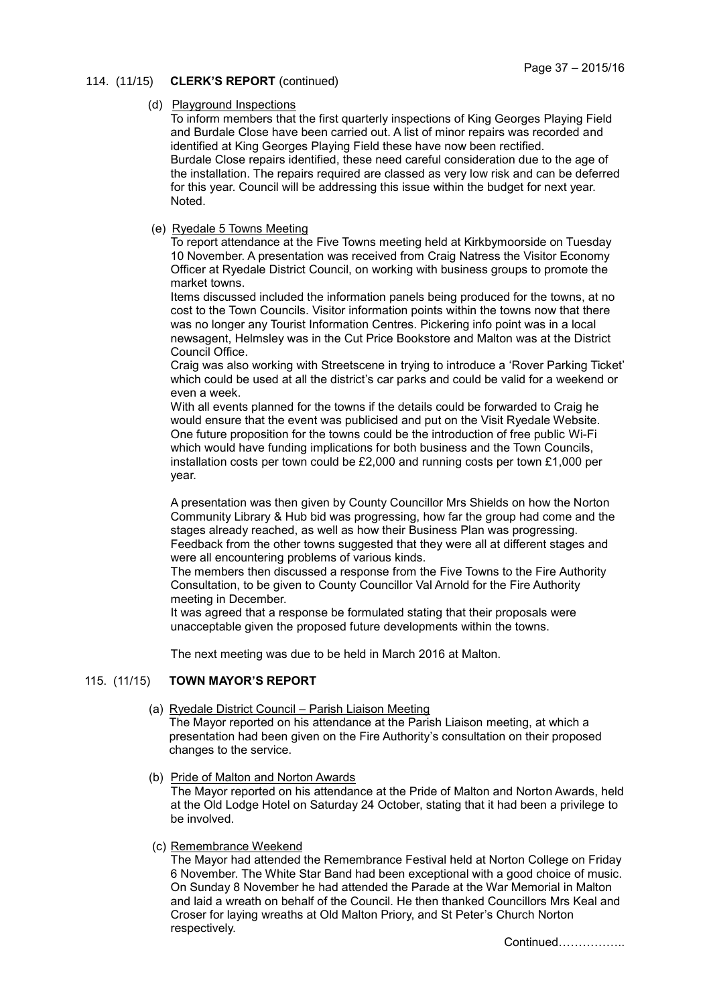# 114. (11/15) **CLERK'S REPORT** (continued)

### (d) Playground Inspections

To inform members that the first quarterly inspections of King Georges Playing Field and Burdale Close have been carried out. A list of minor repairs was recorded and identified at King Georges Playing Field these have now been rectified. Burdale Close repairs identified, these need careful consideration due to the age of the installation. The repairs required are classed as very low risk and can be deferred for this year. Council will be addressing this issue within the budget for next year. Noted.

# (e) Ryedale 5 Towns Meeting

To report attendance at the Five Towns meeting held at Kirkbymoorside on Tuesday 10 November. A presentation was received from Craig Natress the Visitor Economy Officer at Ryedale District Council, on working with business groups to promote the market towns.

Items discussed included the information panels being produced for the towns, at no cost to the Town Councils. Visitor information points within the towns now that there was no longer any Tourist Information Centres. Pickering info point was in a local newsagent, Helmsley was in the Cut Price Bookstore and Malton was at the District Council Office.

Craig was also working with Streetscene in trying to introduce a 'Rover Parking Ticket' which could be used at all the district's car parks and could be valid for a weekend or even a week.

With all events planned for the towns if the details could be forwarded to Craig he would ensure that the event was publicised and put on the Visit Ryedale Website. One future proposition for the towns could be the introduction of free public Wi-Fi which would have funding implications for both business and the Town Councils, installation costs per town could be £2,000 and running costs per town £1,000 per year.

A presentation was then given by County Councillor Mrs Shields on how the Norton Community Library & Hub bid was progressing, how far the group had come and the stages already reached, as well as how their Business Plan was progressing. Feedback from the other towns suggested that they were all at different stages and were all encountering problems of various kinds.

The members then discussed a response from the Five Towns to the Fire Authority Consultation, to be given to County Councillor Val Arnold for the Fire Authority meeting in December.

It was agreed that a response be formulated stating that their proposals were unacceptable given the proposed future developments within the towns.

The next meeting was due to be held in March 2016 at Malton.

# 115. (11/15) **TOWN MAYOR'S REPORT**

- (a) Ryedale District Council Parish Liaison Meeting The Mayor reported on his attendance at the Parish Liaison meeting, at which a presentation had been given on the Fire Authority's consultation on their proposed changes to the service.
- (b) Pride of Malton and Norton Awards

The Mayor reported on his attendance at the Pride of Malton and Norton Awards, held at the Old Lodge Hotel on Saturday 24 October, stating that it had been a privilege to be involved.

(c) Remembrance Weekend

The Mayor had attended the Remembrance Festival held at Norton College on Friday 6 November. The White Star Band had been exceptional with a good choice of music. On Sunday 8 November he had attended the Parade at the War Memorial in Malton and laid a wreath on behalf of the Council. He then thanked Councillors Mrs Keal and Croser for laying wreaths at Old Malton Priory, and St Peter's Church Norton respectively.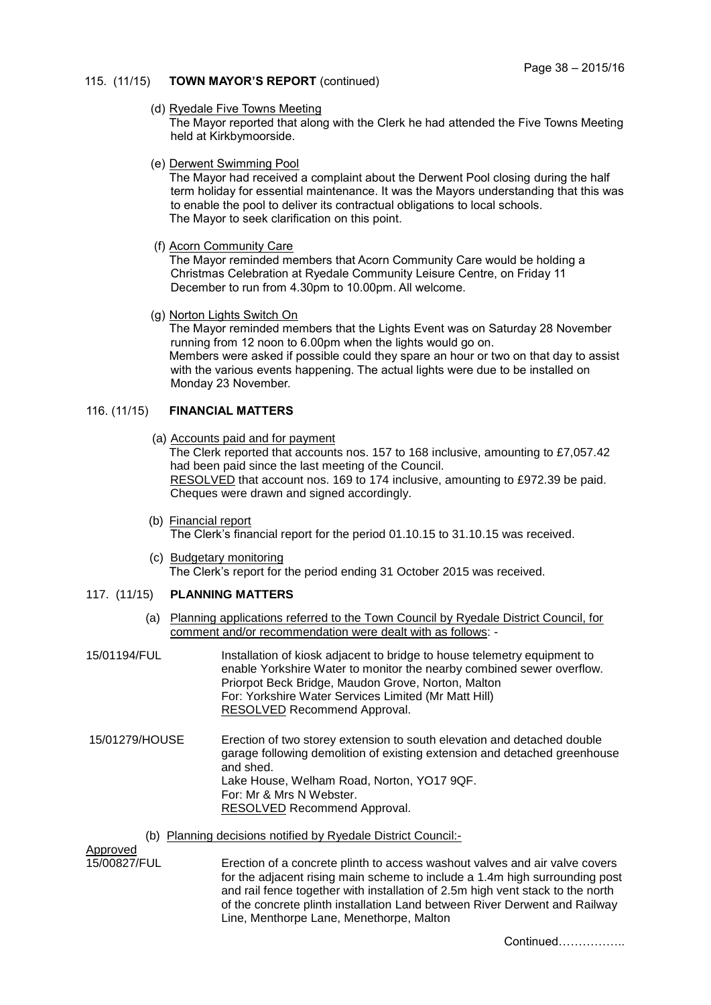# 115. (11/15) **TOWN MAYOR'S REPORT** (continued)

### (d) Ryedale Five Towns Meeting

The Mayor reported that along with the Clerk he had attended the Five Towns Meeting held at Kirkbymoorside.

(e) Derwent Swimming Pool

The Mayor had received a complaint about the Derwent Pool closing during the half term holiday for essential maintenance. It was the Mayors understanding that this was to enable the pool to deliver its contractual obligations to local schools. The Mayor to seek clarification on this point.

(f) Acorn Community Care

The Mayor reminded members that Acorn Community Care would be holding a Christmas Celebration at Ryedale Community Leisure Centre, on Friday 11 December to run from 4.30pm to 10.00pm. All welcome.

(g) Norton Lights Switch On

The Mayor reminded members that the Lights Event was on Saturday 28 November running from 12 noon to 6.00pm when the lights would go on. Members were asked if possible could they spare an hour or two on that day to assist with the various events happening. The actual lights were due to be installed on Monday 23 November.

# 116. (11/15) **FINANCIAL MATTERS**

(a) Accounts paid and for payment

The Clerk reported that accounts nos. 157 to 168 inclusive, amounting to £7,057.42 had been paid since the last meeting of the Council. RESOLVED that account nos. 169 to 174 inclusive, amounting to £972.39 be paid. Cheques were drawn and signed accordingly.

- (b) Financial report The Clerk's financial report for the period 01.10.15 to 31.10.15 was received.
- (c) Budgetary monitoring The Clerk's report for the period ending 31 October 2015 was received.
- 117. (11/15) **PLANNING MATTERS**
	- (a) Planning applications referred to the Town Council by Ryedale District Council, for comment and/or recommendation were dealt with as follows: -
- 15/01194/FUL Installation of kiosk adjacent to bridge to house telemetry equipment to enable Yorkshire Water to monitor the nearby combined sewer overflow. Priorpot Beck Bridge, Maudon Grove, Norton, Malton For: Yorkshire Water Services Limited (Mr Matt Hill) RESOLVED Recommend Approval.
- 15/01279/HOUSE Erection of two storey extension to south elevation and detached double garage following demolition of existing extension and detached greenhouse and shed. Lake House, Welham Road, Norton, YO17 9QF. For: Mr & Mrs N Webster. RESOLVED Recommend Approval.
	- (b) Planning decisions notified by Ryedale District Council:-

Approved

15/00827/FUL Erection of a concrete plinth to access washout valves and air valve covers for the adjacent rising main scheme to include a 1.4m high surrounding post and rail fence together with installation of 2.5m high vent stack to the north of the concrete plinth installation Land between River Derwent and Railway Line, Menthorpe Lane, Menethorpe, Malton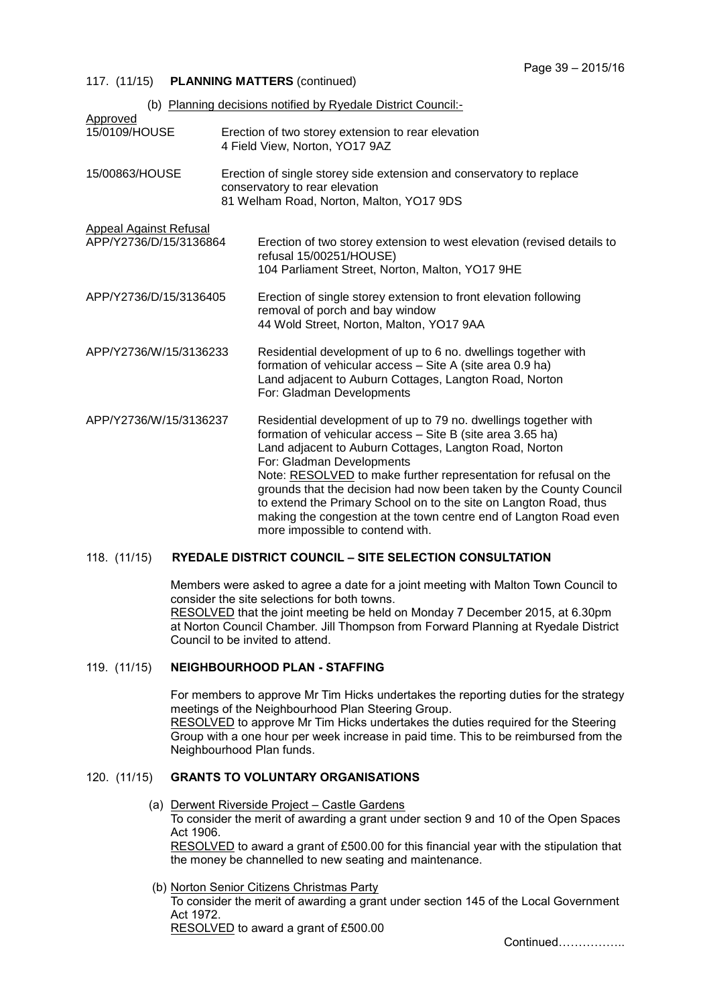#### 117. (11/15) **PLANNING MATTERS** (continued)

| (b) Planning decisions notified by Ryedale District Council:- |  |                                                                                                                                                                                                                                                                                                                                                                                                                                                                                                                                              |
|---------------------------------------------------------------|--|----------------------------------------------------------------------------------------------------------------------------------------------------------------------------------------------------------------------------------------------------------------------------------------------------------------------------------------------------------------------------------------------------------------------------------------------------------------------------------------------------------------------------------------------|
| Approved<br>15/0109/HOUSE                                     |  | Erection of two storey extension to rear elevation<br>4 Field View, Norton, YO17 9AZ                                                                                                                                                                                                                                                                                                                                                                                                                                                         |
| 15/00863/HOUSE                                                |  | Erection of single storey side extension and conservatory to replace<br>conservatory to rear elevation<br>81 Welham Road, Norton, Malton, YO17 9DS                                                                                                                                                                                                                                                                                                                                                                                           |
| <b>Appeal Against Refusal</b><br>APP/Y2736/D/15/3136864       |  | Erection of two storey extension to west elevation (revised details to<br>refusal 15/00251/HOUSE)<br>104 Parliament Street, Norton, Malton, YO17 9HE                                                                                                                                                                                                                                                                                                                                                                                         |
| APP/Y2736/D/15/3136405                                        |  | Erection of single storey extension to front elevation following<br>removal of porch and bay window<br>44 Wold Street, Norton, Malton, YO17 9AA                                                                                                                                                                                                                                                                                                                                                                                              |
| APP/Y2736/W/15/3136233                                        |  | Residential development of up to 6 no. dwellings together with<br>formation of vehicular access - Site A (site area 0.9 ha)<br>Land adjacent to Auburn Cottages, Langton Road, Norton<br>For: Gladman Developments                                                                                                                                                                                                                                                                                                                           |
| APP/Y2736/W/15/3136237                                        |  | Residential development of up to 79 no. dwellings together with<br>formation of vehicular access - Site B (site area 3.65 ha)<br>Land adjacent to Auburn Cottages, Langton Road, Norton<br>For: Gladman Developments<br>Note: RESOLVED to make further representation for refusal on the<br>grounds that the decision had now been taken by the County Council<br>to extend the Primary School on to the site on Langton Road, thus<br>making the congestion at the town centre end of Langton Road even<br>more impossible to contend with. |

### 118. (11/15) **RYEDALE DISTRICT COUNCIL – SITE SELECTION CONSULTATION**

Members were asked to agree a date for a joint meeting with Malton Town Council to consider the site selections for both towns. RESOLVED that the joint meeting be held on Monday 7 December 2015, at 6.30pm at Norton Council Chamber. Jill Thompson from Forward Planning at Ryedale District Council to be invited to attend.

# 119. (11/15) **NEIGHBOURHOOD PLAN - STAFFING**

For members to approve Mr Tim Hicks undertakes the reporting duties for the strategy meetings of the Neighbourhood Plan Steering Group. RESOLVED to approve Mr Tim Hicks undertakes the duties required for the Steering Group with a one hour per week increase in paid time. This to be reimbursed from the Neighbourhood Plan funds.

#### 120. (11/15) **GRANTS TO VOLUNTARY ORGANISATIONS**

- (a) Derwent Riverside Project Castle Gardens To consider the merit of awarding a grant under section 9 and 10 of the Open Spaces Act 1906. RESOLVED to award a grant of £500.00 for this financial year with the stipulation that the money be channelled to new seating and maintenance.
- (b) Norton Senior Citizens Christmas Party

To consider the merit of awarding a grant under section 145 of the Local Government Act 1972.

RESOLVED to award a grant of £500.00